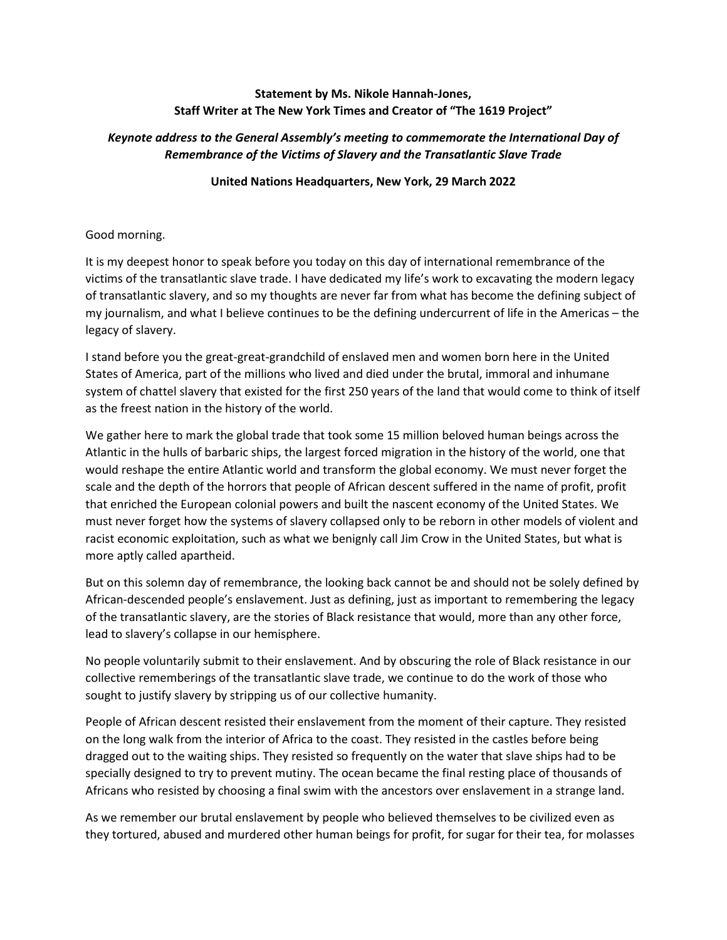## **Statement by Ms. Nikole Hannah-Jones, Staff Writer at The New York Times and Creator of "The 1619 Project"**

## *Keynote address to the General Assembly's meeting to commemorate the International Day of Remembrance of the Victims of Slavery and the Transatlantic Slave Trade*

## **United Nations Headquarters, New York, 29 March 2022**

## Good morning.

It is my deepest honor to speak before you today on this day of international remembrance of the victims of the transatlantic slave trade. I have dedicated my life's work to excavating the modern legacy of transatlantic slavery, and so my thoughts are never far from what has become the defining subject of my journalism, and what I believe continues to be the defining undercurrent of life in the Americas – the legacy of slavery.

I stand before you the great-great-grandchild of enslaved men and women born here in the United States of America, part of the millions who lived and died under the brutal, immoral and inhumane system of chattel slavery that existed for the first 250 years of the land that would come to think of itself as the freest nation in the history of the world.

We gather here to mark the global trade that took some 15 million beloved human beings across the Atlantic in the hulls of barbaric ships, the largest forced migration in the history of the world, one that would reshape the entire Atlantic world and transform the global economy. We must never forget the scale and the depth of the horrors that people of African descent suffered in the name of profit, profit that enriched the European colonial powers and built the nascent economy of the United States. We must never forget how the systems of slavery collapsed only to be reborn in other models of violent and racist economic exploitation, such as what we benignly call Jim Crow in the United States, but what is more aptly called apartheid.

But on this solemn day of remembrance, the looking back cannot be and should not be solely defined by African-descended people's enslavement. Just as defining, just as important to remembering the legacy of the transatlantic slavery, are the stories of Black resistance that would, more than any other force, lead to slavery's collapse in our hemisphere.

No people voluntarily submit to their enslavement. And by obscuring the role of Black resistance in our collective rememberings of the transatlantic slave trade, we continue to do the work of those who sought to justify slavery by stripping us of our collective humanity.

People of African descent resisted their enslavement from the moment of their capture. They resisted on the long walk from the interior of Africa to the coast. They resisted in the castles before being dragged out to the waiting ships. They resisted so frequently on the water that slave ships had to be specially designed to try to prevent mutiny. The ocean became the final resting place of thousands of Africans who resisted by choosing a final swim with the ancestors over enslavement in a strange land.

As we remember our brutal enslavement by people who believed themselves to be civilized even as they tortured, abused and murdered other human beings for profit, for sugar for their tea, for molasses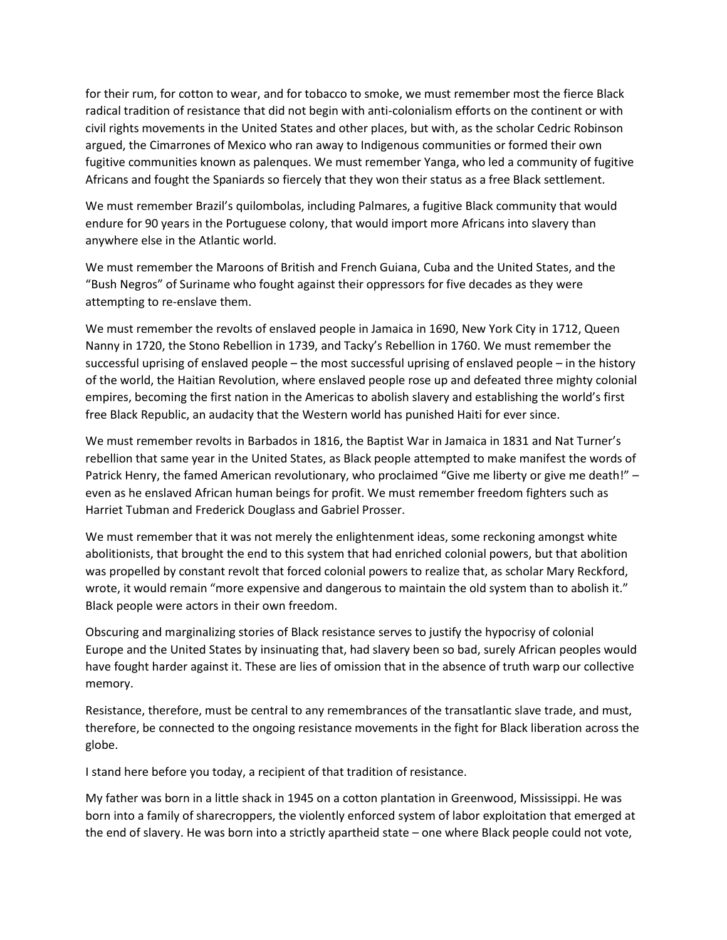for their rum, for cotton to wear, and for tobacco to smoke, we must remember most the fierce Black radical tradition of resistance that did not begin with anti-colonialism efforts on the continent or with civil rights movements in the United States and other places, but with, as the scholar Cedric Robinson argued, the Cimarrones of Mexico who ran away to Indigenous communities or formed their own fugitive communities known as palenques. We must remember Yanga, who led a community of fugitive Africans and fought the Spaniards so fiercely that they won their status as a free Black settlement.

We must remember Brazil's quilombolas, including Palmares, a fugitive Black community that would endure for 90 years in the Portuguese colony, that would import more Africans into slavery than anywhere else in the Atlantic world.

We must remember the Maroons of British and French Guiana, Cuba and the United States, and the "Bush Negros" of Suriname who fought against their oppressors for five decades as they were attempting to re-enslave them.

We must remember the revolts of enslaved people in Jamaica in 1690, New York City in 1712, Queen Nanny in 1720, the Stono Rebellion in 1739, and Tacky's Rebellion in 1760. We must remember the successful uprising of enslaved people – the most successful uprising of enslaved people – in the history of the world, the Haitian Revolution, where enslaved people rose up and defeated three mighty colonial empires, becoming the first nation in the Americas to abolish slavery and establishing the world's first free Black Republic, an audacity that the Western world has punished Haiti for ever since.

We must remember revolts in Barbados in 1816, the Baptist War in Jamaica in 1831 and Nat Turner's rebellion that same year in the United States, as Black people attempted to make manifest the words of Patrick Henry, the famed American revolutionary, who proclaimed "Give me liberty or give me death!" – even as he enslaved African human beings for profit. We must remember freedom fighters such as Harriet Tubman and Frederick Douglass and Gabriel Prosser.

We must remember that it was not merely the enlightenment ideas, some reckoning amongst white abolitionists, that brought the end to this system that had enriched colonial powers, but that abolition was propelled by constant revolt that forced colonial powers to realize that, as scholar Mary Reckford, wrote, it would remain "more expensive and dangerous to maintain the old system than to abolish it." Black people were actors in their own freedom.

Obscuring and marginalizing stories of Black resistance serves to justify the hypocrisy of colonial Europe and the United States by insinuating that, had slavery been so bad, surely African peoples would have fought harder against it. These are lies of omission that in the absence of truth warp our collective memory.

Resistance, therefore, must be central to any remembrances of the transatlantic slave trade, and must, therefore, be connected to the ongoing resistance movements in the fight for Black liberation across the globe.

I stand here before you today, a recipient of that tradition of resistance.

My father was born in a little shack in 1945 on a cotton plantation in Greenwood, Mississippi. He was born into a family of sharecroppers, the violently enforced system of labor exploitation that emerged at the end of slavery. He was born into a strictly apartheid state – one where Black people could not vote,